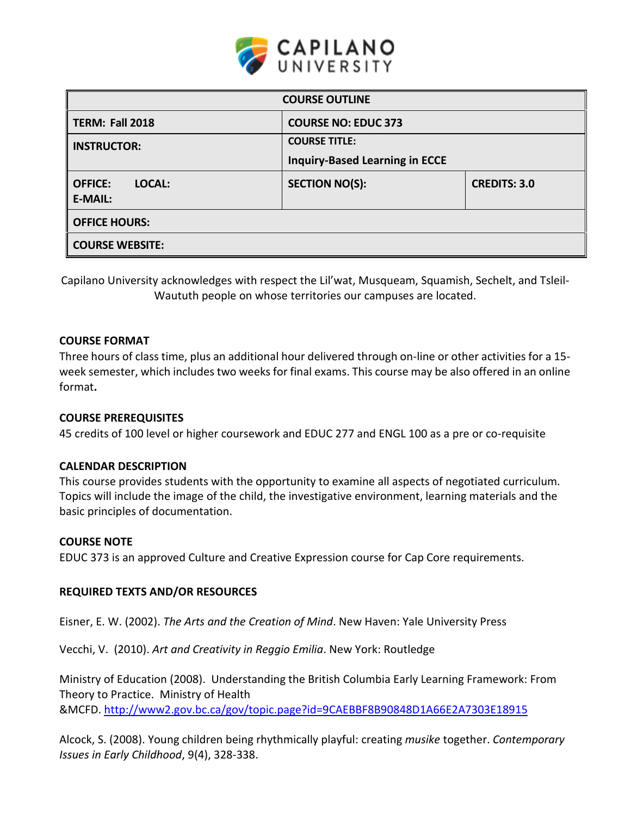

| <b>COURSE OUTLINE</b>                      |                                       |                     |  |  |  |
|--------------------------------------------|---------------------------------------|---------------------|--|--|--|
| <b>TERM: Fall 2018</b>                     | <b>COURSE NO: EDUC 373</b>            |                     |  |  |  |
| <b>INSTRUCTOR:</b>                         | <b>COURSE TITLE:</b>                  |                     |  |  |  |
|                                            | <b>Inquiry-Based Learning in ECCE</b> |                     |  |  |  |
| <b>OFFICE:</b><br>LOCAL:<br><b>E-MAIL:</b> | <b>SECTION NO(S):</b>                 | <b>CREDITS: 3.0</b> |  |  |  |
| <b>OFFICE HOURS:</b>                       |                                       |                     |  |  |  |
| <b>COURSE WEBSITE:</b>                     |                                       |                     |  |  |  |

Capilano University acknowledges with respect the Lil'wat, Musqueam, Squamish, Sechelt, and Tsleil-Waututh people on whose territories our campuses are located.

### **COURSE FORMAT**

Three hours of class time, plus an additional hour delivered through on-line or other activities for a 15 week semester, which includes two weeks for final exams. This course may be also offered in an online format**.**

# **COURSE PREREQUISITES**

45 credits of 100 level or higher coursework and EDUC 277 and ENGL 100 as a pre or co-requisite

### **CALENDAR DESCRIPTION**

This course provides students with the opportunity to examine all aspects of negotiated curriculum. Topics will include the image of the child, the investigative environment, learning materials and the basic principles of documentation.

### **COURSE NOTE**

EDUC 373 is an approved Culture and Creative Expression course for Cap Core requirements.

# **REQUIRED TEXTS AND/OR RESOURCES**

Eisner, E. W. (2002). *The Arts and the Creation of Mind*. New Haven: Yale University Press

Vecchi, V. (2010). *Art and Creativity in Reggio Emilia*. New York: Routledge

Ministry of Education (2008). Understanding the British Columbia Early Learning Framework: From Theory to Practice. Ministry of Health &MCFD.<http://www2.gov.bc.ca/gov/topic.page?id=9CAEBBF8B90848D1A66E2A7303E18915>

Alcock, S. (2008). Young children being rhythmically playful: creating *musike* together. *Contemporary Issues in Early Childhood*, 9(4), 328-338.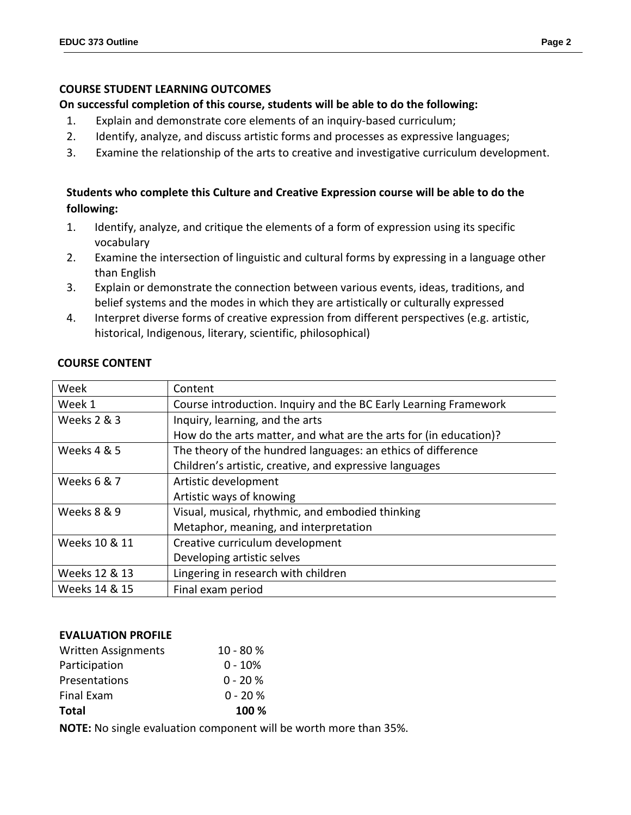## **COURSE STUDENT LEARNING OUTCOMES**

## **On successful completion of this course, students will be able to do the following:**

- 1. Explain and demonstrate core elements of an inquiry-based curriculum;
- 2. Identify, analyze, and discuss artistic forms and processes as expressive languages;
- 3. Examine the relationship of the arts to creative and investigative curriculum development.

# **Students who complete this Culture and Creative Expression course will be able to do the following:**

- 1. Identify, analyze, and critique the elements of a form of expression using its specific vocabulary
- 2. Examine the intersection of linguistic and cultural forms by expressing in a language other than English
- 3. Explain or demonstrate the connection between various events, ideas, traditions, and belief systems and the modes in which they are artistically or culturally expressed
- 4. Interpret diverse forms of creative expression from different perspectives (e.g. artistic, historical, Indigenous, literary, scientific, philosophical)

| Week                   | Content                                                           |  |  |
|------------------------|-------------------------------------------------------------------|--|--|
| Week 1                 | Course introduction. Inquiry and the BC Early Learning Framework  |  |  |
| <b>Weeks 2 &amp; 3</b> | Inquiry, learning, and the arts                                   |  |  |
|                        | How do the arts matter, and what are the arts for (in education)? |  |  |
| Weeks 4 & 5            | The theory of the hundred languages: an ethics of difference      |  |  |
|                        | Children's artistic, creative, and expressive languages           |  |  |
| Weeks 6 & 7            | Artistic development                                              |  |  |
|                        | Artistic ways of knowing                                          |  |  |
| Weeks 8 & 9            | Visual, musical, rhythmic, and embodied thinking                  |  |  |
|                        | Metaphor, meaning, and interpretation                             |  |  |
| Weeks 10 & 11          | Creative curriculum development                                   |  |  |
|                        | Developing artistic selves                                        |  |  |
| Weeks 12 & 13          | Lingering in research with children                               |  |  |
| Weeks 14 & 15          | Final exam period                                                 |  |  |

## **COURSE CONTENT**

# **EVALUATION PROFILE**

| <b>Total</b>               | 100 %      |
|----------------------------|------------|
| Final Exam                 | $0 - 20 %$ |
| Presentations              | $0 - 20 %$ |
| Participation              | $0 - 10%$  |
| <b>Written Assignments</b> | $10 - 80%$ |

**NOTE:** No single evaluation component will be worth more than 35%.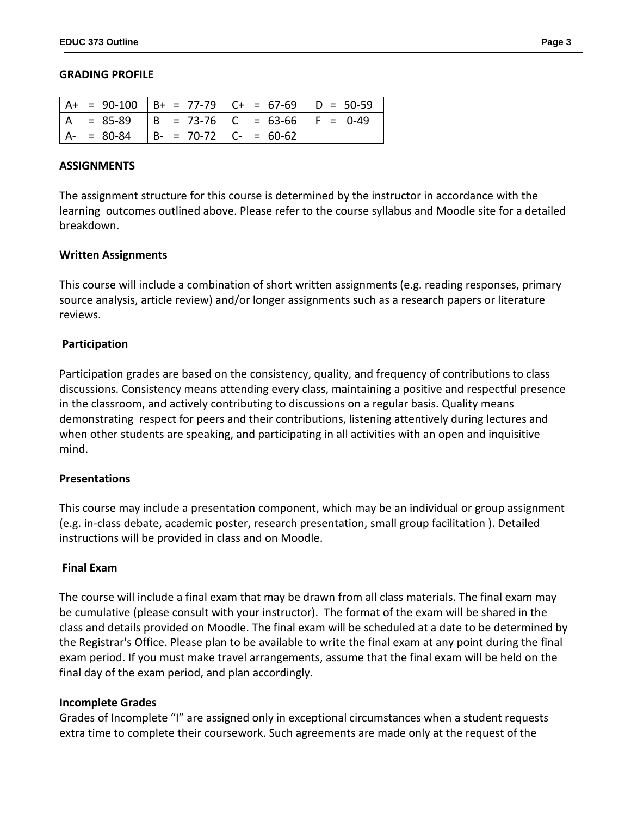#### **GRADING PROFILE**

|                |             |                           | $A+ = 90-100$ $B+ = 77-79$ $C+ = 67-69$ $D = 50-59$ |  |
|----------------|-------------|---------------------------|-----------------------------------------------------|--|
| $\overline{A}$ |             |                           | $= 85-89$  B = 73-76  C = 63-66  F = 0-49           |  |
|                | $A - 80-84$ | $  B - 70-72   C - 60-62$ |                                                     |  |

#### **ASSIGNMENTS**

The assignment structure for this course is determined by the instructor in accordance with the learning outcomes outlined above. Please refer to the course syllabus and Moodle site for a detailed breakdown.

### **Written Assignments**

This course will include a combination of short written assignments (e.g. reading responses, primary source analysis, article review) and/or longer assignments such as a research papers or literature reviews.

### **Participation**

Participation grades are based on the consistency, quality, and frequency of contributions to class discussions. Consistency means attending every class, maintaining a positive and respectful presence in the classroom, and actively contributing to discussions on a regular basis. Quality means demonstrating respect for peers and their contributions, listening attentively during lectures and when other students are speaking, and participating in all activities with an open and inquisitive mind.

### **Presentations**

This course may include a presentation component, which may be an individual or group assignment (e.g. in-class debate, academic poster, research presentation, small group facilitation ). Detailed instructions will be provided in class and on Moodle.

### **Final Exam**

The course will include a final exam that may be drawn from all class materials. The final exam may be cumulative (please consult with your instructor). The format of the exam will be shared in the class and details provided on Moodle. The final exam will be scheduled at a date to be determined by the Registrar's Office. Please plan to be available to write the final exam at any point during the final exam period. If you must make travel arrangements, assume that the final exam will be held on the final day of the exam period, and plan accordingly.

### **Incomplete Grades**

Grades of Incomplete "I" are assigned only in exceptional circumstances when a student requests extra time to complete their coursework. Such agreements are made only at the request of the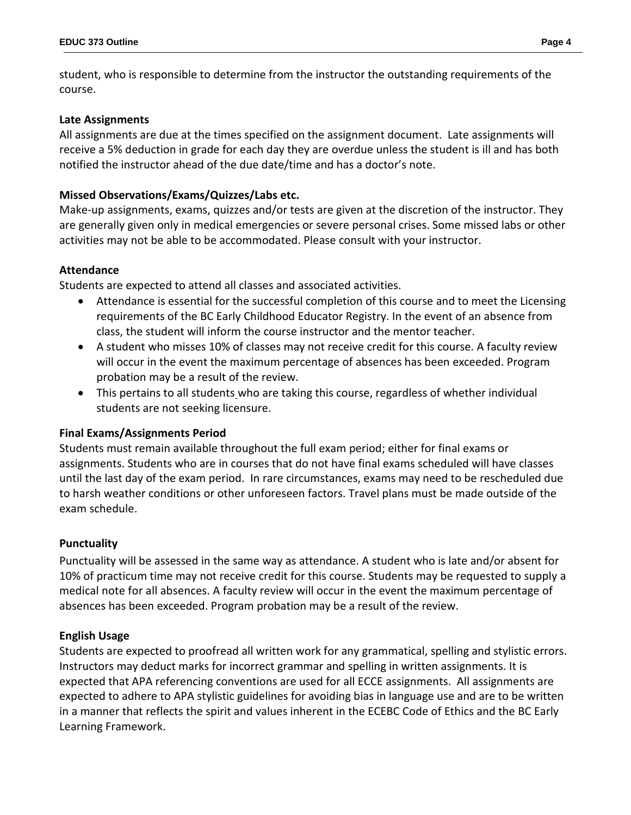student, who is responsible to determine from the instructor the outstanding requirements of the course.

### **Late Assignments**

All assignments are due at the times specified on the assignment document. Late assignments will receive a 5% deduction in grade for each day they are overdue unless the student is ill and has both notified the instructor ahead of the due date/time and has a doctor's note.

# **Missed Observations/Exams/Quizzes/Labs etc.**

Make-up assignments, exams, quizzes and/or tests are given at the discretion of the instructor. They are generally given only in medical emergencies or severe personal crises. Some missed labs or other activities may not be able to be accommodated. Please consult with your instructor.

# **Attendance**

Students are expected to attend all classes and associated activities.

- Attendance is essential for the successful completion of this course and to meet the Licensing requirements of the BC Early Childhood Educator Registry. In the event of an absence from class, the student will inform the course instructor and the mentor teacher.
- A student who misses 10% of classes may not receive credit for this course. A faculty review will occur in the event the maximum percentage of absences has been exceeded. Program probation may be a result of the review.
- This pertains to all students who are taking this course, regardless of whether individual students are not seeking licensure.

# **Final Exams/Assignments Period**

Students must remain available throughout the full exam period; either for final exams or assignments. Students who are in courses that do not have final exams scheduled will have classes until the last day of the exam period. In rare circumstances, exams may need to be rescheduled due to harsh weather conditions or other unforeseen factors. Travel plans must be made outside of the exam schedule.

# **Punctuality**

Punctuality will be assessed in the same way as attendance. A student who is late and/or absent for 10% of practicum time may not receive credit for this course. Students may be requested to supply a medical note for all absences. A faculty review will occur in the event the maximum percentage of absences has been exceeded. Program probation may be a result of the review.

### **English Usage**

Students are expected to proofread all written work for any grammatical, spelling and stylistic errors. Instructors may deduct marks for incorrect grammar and spelling in written assignments. It is expected that APA referencing conventions are used for all ECCE assignments. All assignments are expected to adhere to APA stylistic guidelines for avoiding bias in language use and are to be written in a manner that reflects the spirit and values inherent in the ECEBC Code of Ethics and the BC Early Learning Framework.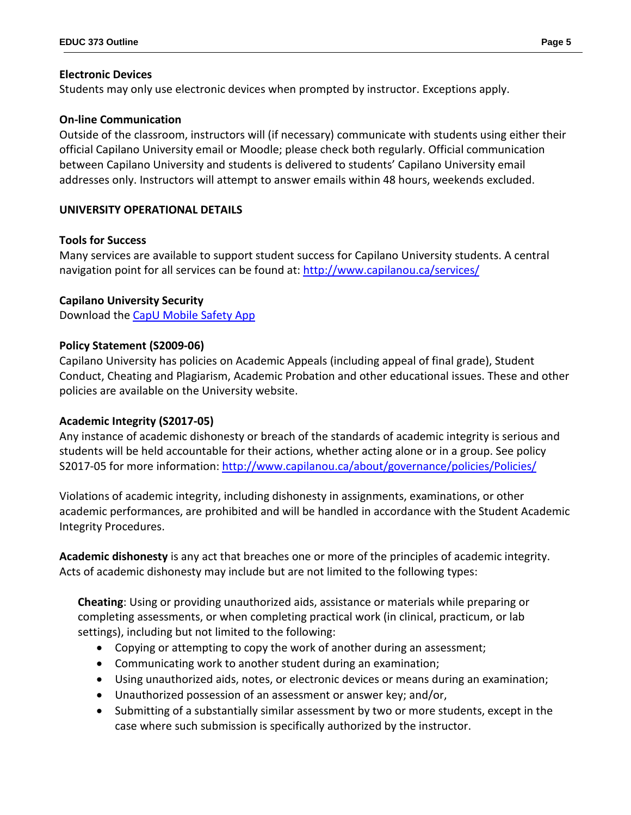# **Electronic Devices**

Students may only use electronic devices when prompted by instructor. Exceptions apply.

# **On-line Communication**

Outside of the classroom, instructors will (if necessary) communicate with students using either their official Capilano University email or Moodle; please check both regularly. Official communication between Capilano University and students is delivered to students' Capilano University email addresses only. Instructors will attempt to answer emails within 48 hours, weekends excluded.

# **UNIVERSITY OPERATIONAL DETAILS**

# **Tools for Success**

Many services are available to support student success for Capilano University students. A central navigation point for all services can be found at:<http://www.capilanou.ca/services/>

# **Capilano University Security**

Download the [CapU Mobile Safety App](https://www.capilanou.ca/services/safety-security/CapU-Mobile-Safety-App/)

# **Policy Statement (S2009-06)**

Capilano University has policies on Academic Appeals (including appeal of final grade), Student Conduct, Cheating and Plagiarism, Academic Probation and other educational issues. These and other policies are available on the University website.

# **Academic Integrity (S2017-05)**

Any instance of academic dishonesty or breach of the standards of academic integrity is serious and students will be held accountable for their actions, whether acting alone or in a group. See policy S2017-05 for more information: <http://www.capilanou.ca/about/governance/policies/Policies/>

Violations of academic integrity, including dishonesty in assignments, examinations, or other academic performances, are prohibited and will be handled in accordance with the Student Academic Integrity Procedures.

**Academic dishonesty** is any act that breaches one or more of the principles of academic integrity. Acts of academic dishonesty may include but are not limited to the following types:

**Cheating**: Using or providing unauthorized aids, assistance or materials while preparing or completing assessments, or when completing practical work (in clinical, practicum, or lab settings), including but not limited to the following:

- Copying or attempting to copy the work of another during an assessment;
- Communicating work to another student during an examination;
- Using unauthorized aids, notes, or electronic devices or means during an examination;
- Unauthorized possession of an assessment or answer key; and/or,
- Submitting of a substantially similar assessment by two or more students, except in the case where such submission is specifically authorized by the instructor.